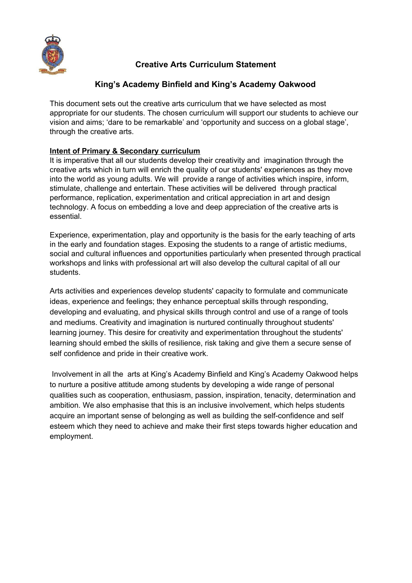

# **Creative Arts Curriculum Statement**

# **King's Academy Binfield and King's Academy Oakwood**

This document sets out the creative arts curriculum that we have selected as most appropriate for our students. The chosen curriculum will support our students to achieve our vision and aims; 'dare to be remarkable' and 'opportunity and success on a global stage', through the creative arts.

# **Intent of Primary & Secondary curriculum**

It is imperative that all our students develop their creativity and imagination through the creative arts which in turn will enrich the quality of our students' experiences as they move into the world as young adults. We will provide a range of activities which inspire, inform, stimulate, challenge and entertain. These activities will be delivered through practical performance, replication, experimentation and critical appreciation in art and design technology. A focus on embedding a love and deep appreciation of the creative arts is essential.

Experience, experimentation, play and opportunity is the basis for the early teaching of arts in the early and foundation stages. Exposing the students to a range of artistic mediums, social and cultural influences and opportunities particularly when presented through practical workshops and links with professional art will also develop the cultural capital of all our students.

Arts activities and experiences develop students' capacity to formulate and communicate ideas, experience and feelings; they enhance perceptual skills through responding, developing and evaluating, and physical skills through control and use of a range of tools and mediums. Creativity and imagination is nurtured continually throughout students' learning journey. This desire for creativity and experimentation throughout the students' learning should embed the skills of resilience, risk taking and give them a secure sense of self confidence and pride in their creative work.

Involvement in all the arts at King's Academy Binfield and King's Academy Oakwood helps to nurture a positive attitude among students by developing a wide range of personal qualities such as cooperation, enthusiasm, passion, inspiration, tenacity, determination and ambition. We also emphasise that this is an inclusive involvement, which helps students acquire an important sense of belonging as well as building the self-confidence and self esteem which they need to achieve and make their first steps towards higher education and employment.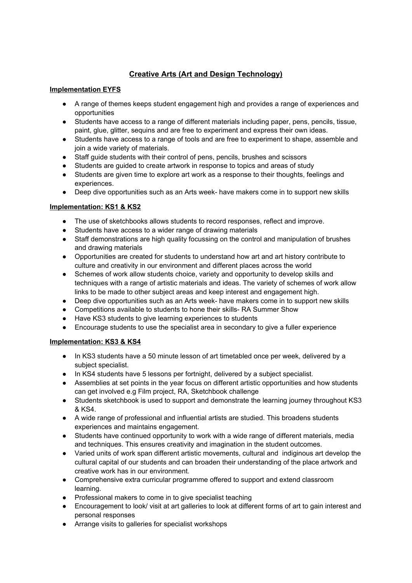# **Creative Arts (Art and Design Technology)**

## **Implementation EYFS**

- A range of themes keeps student engagement high and provides a range of experiences and opportunities
- Students have access to a range of different materials including paper, pens, pencils, tissue, paint, glue, glitter, sequins and are free to experiment and express their own ideas.
- Students have access to a range of tools and are free to experiment to shape, assemble and join a wide variety of materials.
- Staff guide students with their control of pens, pencils, brushes and scissors
- Students are guided to create artwork in response to topics and areas of study
- Students are given time to explore art work as a response to their thoughts, feelings and experiences.
- Deep dive opportunities such as an Arts week- have makers come in to support new skills

## **Implementation: KS1 & KS2**

- **●** The use of sketchbooks allows students to record responses, reflect and improve.
- Students have access to a wider range of drawing materials
- Staff demonstrations are high quality focussing on the control and manipulation of brushes and drawing materials
- Opportunities are created for students to understand how art and art history contribute to culture and creativity in our environment and different places across the world
- Schemes of work allow students choice, variety and opportunity to develop skills and techniques with a range of artistic materials and ideas. The variety of schemes of work allow links to be made to other subject areas and keep interest and engagement high.
- Deep dive opportunities such as an Arts week- have makers come in to support new skills
- Competitions available to students to hone their skills- RA Summer Show
- Have KS3 students to give learning experiences to students
- Encourage students to use the specialist area in secondary to give a fuller experience

### **Implementation: KS3 & KS4**

- In KS3 students have a 50 minute lesson of art timetabled once per week, delivered by a subject specialist.
- In KS4 students have 5 lessons per fortnight, delivered by a subject specialist.
- Assemblies at set points in the year focus on different artistic opportunities and how students can get involved e.g Film project, RA, Sketchbook challenge
- Students sketchbook is used to support and demonstrate the learning journey throughout KS3 & KS4.
- A wide range of professional and influential artists are studied. This broadens students experiences and maintains engagement.
- Students have continued opportunity to work with a wide range of different materials, media and techniques. This ensures creativity and imagination in the student outcomes.
- Varied units of work span different artistic movements, cultural and indiginous art develop the cultural capital of our students and can broaden their understanding of the place artwork and creative work has in our environment.
- Comprehensive extra curricular programme offered to support and extend classroom learning.
- Professional makers to come in to give specialist teaching
- Encouragement to look/ visit at art galleries to look at different forms of art to gain interest and personal responses
- Arrange visits to galleries for specialist workshops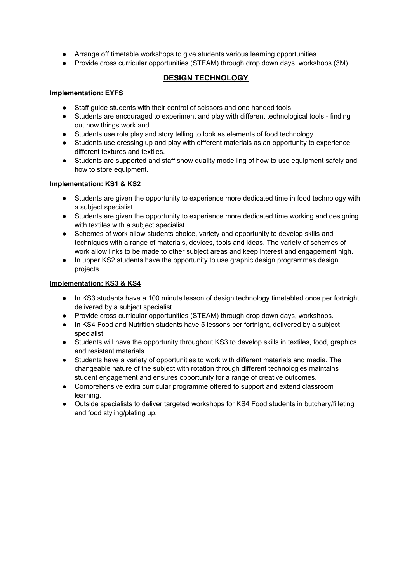- Arrange off timetable workshops to give students various learning opportunities
- Provide cross curricular opportunities (STEAM) through drop down days, workshops (3M)

# **DESIGN TECHNOLOGY**

### **Implementation: EYFS**

- Staff guide students with their control of scissors and one handed tools
- Students are encouraged to experiment and play with different technological tools finding out how things work and
- Students use role play and story telling to look as elements of food technology
- Students use dressing up and play with different materials as an opportunity to experience different textures and textiles.
- Students are supported and staff show quality modelling of how to use equipment safely and how to store equipment.

## **Implementation: KS1 & KS2**

- Students are given the opportunity to experience more dedicated time in food technology with a subject specialist
- Students are given the opportunity to experience more dedicated time working and designing with textiles with a subject specialist
- Schemes of work allow students choice, variety and opportunity to develop skills and techniques with a range of materials, devices, tools and ideas. The variety of schemes of work allow links to be made to other subject areas and keep interest and engagement high.
- In upper KS2 students have the opportunity to use graphic design programmes design projects.

## **Implementation: KS3 & KS4**

- In KS3 students have a 100 minute lesson of design technology timetabled once per fortnight, delivered by a subject specialist.
- Provide cross curricular opportunities (STEAM) through drop down days, workshops.
- In KS4 Food and Nutrition students have 5 lessons per fortnight, delivered by a subject specialist
- Students will have the opportunity throughout KS3 to develop skills in textiles, food, graphics and resistant materials.
- Students have a variety of opportunities to work with different materials and media. The changeable nature of the subject with rotation through different technologies maintains student engagement and ensures opportunity for a range of creative outcomes.
- Comprehensive extra curricular programme offered to support and extend classroom learning.
- Outside specialists to deliver targeted workshops for KS4 Food students in butchery/filleting and food styling/plating up.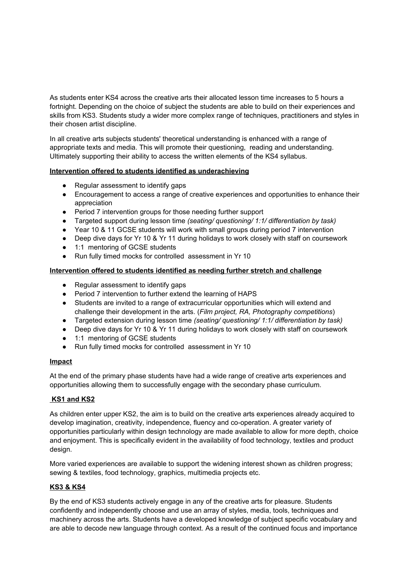As students enter KS4 across the creative arts their allocated lesson time increases to 5 hours a fortnight. Depending on the choice of subject the students are able to build on their experiences and skills from KS3. Students study a wider more complex range of techniques, practitioners and styles in their chosen artist discipline.

In all creative arts subjects students' theoretical understanding is enhanced with a range of appropriate texts and media. This will promote their questioning, reading and understanding. Ultimately supporting their ability to access the written elements of the KS4 syllabus.

### **Intervention offered to students identified as underachieving**

- Regular assessment to identify gaps
- Encouragement to access a range of creative experiences and opportunities to enhance their appreciation
- Period 7 intervention groups for those needing further support
- Targeted support during lesson time *(seating/ questioning/ 1:1/ differentiation by task)*
- Year 10 & 11 GCSE students will work with small groups during period 7 intervention
- Deep dive days for Yr 10 & Yr 11 during holidays to work closely with staff on coursework
- 1:1 mentoring of GCSE students
- Run fully timed mocks for controlled assessment in Yr 10

#### **Intervention offered to students identified as needing further stretch and challenge**

- Regular assessment to identify gaps
- Period 7 intervention to further extend the learning of HAPS
- Students are invited to a range of extracurricular opportunities which will extend and challenge their development in the arts. (*Film project, RA, Photography competitions*)
- Targeted extension during lesson time *(seating/ questioning/ 1:1/ differentiation by task)*
- *●* Deep dive days for Yr 10 & Yr 11 during holidays to work closely with staff on coursework
- 1:1 mentoring of GCSE students
- Run fully timed mocks for controlled assessment in Yr 10

#### **Impact**

At the end of the primary phase students have had a wide range of creative arts experiences and opportunities allowing them to successfully engage with the secondary phase curriculum.

### **KS1 and KS2**

As children enter upper KS2, the aim is to build on the creative arts experiences already acquired to develop imagination, creativity, independence, fluency and co-operation. A greater variety of opportunities particularly within design technology are made available to allow for more depth, choice and enjoyment. This is specifically evident in the availability of food technology, textiles and product design.

More varied experiences are available to support the widening interest shown as children progress; sewing & textiles, food technology, graphics, multimedia projects etc.

### **KS3 & KS4**

By the end of KS3 students actively engage in any of the creative arts for pleasure. Students confidently and independently choose and use an array of styles, media, tools, techniques and machinery across the arts. Students have a developed knowledge of subject specific vocabulary and are able to decode new language through context. As a result of the continued focus and importance